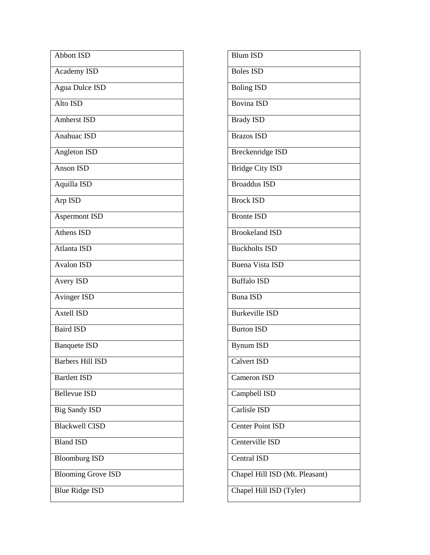| <b>Abbott ISD</b>         |  |
|---------------------------|--|
| Academy ISD               |  |
| <b>Agua Dulce ISD</b>     |  |
| Alto ISD                  |  |
| <b>Amherst ISD</b>        |  |
| Anahuac ISD               |  |
| Angleton ISD              |  |
| <b>Anson ISD</b>          |  |
| Aquilla ISD               |  |
| Arp ISD                   |  |
| <b>Aspermont ISD</b>      |  |
| Athens ISD                |  |
| Atlanta ISD               |  |
| <b>Avalon ISD</b>         |  |
| Avery ISD                 |  |
| <b>Avinger ISD</b>        |  |
| <b>Axtell ISD</b>         |  |
| <b>Baird ISD</b>          |  |
| <b>Banquete ISD</b>       |  |
| <b>Barbers Hill ISD</b>   |  |
| <b>Bartlett ISD</b>       |  |
| <b>Bellevue ISD</b>       |  |
| <b>Big Sandy ISD</b>      |  |
| <b>Blackwell CISD</b>     |  |
| <b>Bland ISD</b>          |  |
| <b>Bloomburg ISD</b>      |  |
| <b>Blooming Grove ISD</b> |  |
| <b>Blue Ridge ISD</b>     |  |

| <b>Blum ISD</b>                |
|--------------------------------|
| <b>Boles ISD</b>               |
| <b>Boling ISD</b>              |
| <b>Bovina ISD</b>              |
| Brady ISD                      |
| <b>Brazos ISD</b>              |
| <b>Breckenridge ISD</b>        |
| Bridge City ISD                |
| <b>Broaddus ISD</b>            |
| <b>Brock ISD</b>               |
| <b>Bronte ISD</b>              |
| <b>Brookeland ISD</b>          |
| <b>Buckholts ISD</b>           |
| <b>Buena Vista ISD</b>         |
| Buffalo ISD                    |
| <b>Buna ISD</b>                |
| Burkeville ISD                 |
| <b>Burton ISD</b>              |
| <b>Bynum ISD</b>               |
| Calvert ISD                    |
| Cameron ISD                    |
| Campbell ISD                   |
| Carlisle ISD                   |
| <b>Center Point ISD</b>        |
| Centerville ISD                |
| Central ISD                    |
| Chapel Hill ISD (Mt. Pleasant) |
| Chapel Hill ISD (Tyler)        |
|                                |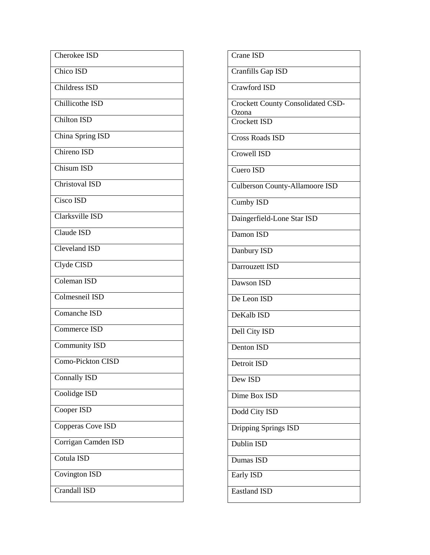| Cherokee ISD         |
|----------------------|
| Chico ISD            |
| Childress ISD        |
| Chillicothe ISD      |
| Chilton ISD          |
| China Spring ISD     |
| Chireno ISD          |
| <b>Chisum ISD</b>    |
| Christoval ISD       |
| Cisco ISD            |
| Clarksville ISD      |
| Claude ISD           |
| Cleveland ISD        |
| Clyde CISD           |
| Coleman ISD          |
| Colmesneil ISD       |
| Comanche ISD         |
| Commerce ISD         |
| <b>Community ISD</b> |
| Como-Pickton CISD    |
| <b>Connally ISD</b>  |
| Coolidge ISD         |
| Cooper ISD           |
| Copperas Cove ISD    |
| Corrigan Camden ISD  |
| Cotula ISD           |
| Covington ISD        |
| Crandall ISD         |

| Crane ISD                                         |
|---------------------------------------------------|
| Cranfills Gap ISD                                 |
| Crawford ISD                                      |
| <b>Crockett County Consolidated CSD-</b><br>Ozona |
| <b>Crockett ISD</b>                               |
| <b>Cross Roads ISD</b>                            |
| Crowell ISD                                       |
| Cuero ISD                                         |
| <b>Culberson County-Allamoore ISD</b>             |
| Cumby ISD                                         |
| Daingerfield-Lone Star ISD                        |
| Damon ISD                                         |
| Danbury ISD                                       |
| Darrouzett ISD                                    |
| Dawson ISD                                        |
| De Leon ISD                                       |
| DeKalb ISD                                        |
| Dell City ISD                                     |
| Denton ISD                                        |
| Detroit ISD                                       |
| Dew ISD                                           |
| Dime Box ISD                                      |
| Dodd City ISD                                     |
| Dripping Springs ISD                              |
| Dublin ISD                                        |
| Dumas ISD                                         |
| Early ISD                                         |
| <b>Eastland ISD</b>                               |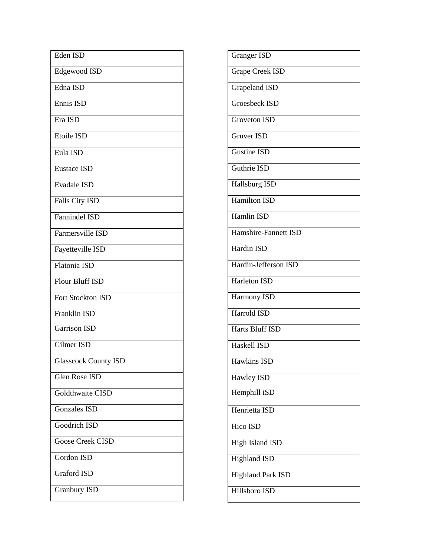| Eden ISD                    |
|-----------------------------|
| Edgewood ISD                |
| Edna ISD                    |
| Ennis ISD                   |
| Era ISD                     |
| Etoile ISD                  |
| Eula ISD                    |
| <b>Eustace ISD</b>          |
| <b>Evadale ISD</b>          |
| Falls City ISD              |
| <b>Fannindel ISD</b>        |
| Farmersville ISD            |
| Fayetteville ISD            |
| <b>Flatonia ISD</b>         |
| <b>Flour Bluff ISD</b>      |
| Fort Stockton ISD           |
| <b>Franklin ISD</b>         |
| Garrison ISD                |
| Gilmer ISD                  |
| <b>Glasscock County ISD</b> |
| Glen Rose ISD               |
| Goldthwaite CISD            |
| Gonzales ISD                |
| <b>Goodrich ISD</b>         |
| <b>Goose Creek CISD</b>     |
| Gordon ISD                  |
| Graford ISD                 |
| <b>Granbury ISD</b>         |

| Granger ISD            |
|------------------------|
| <b>Grape Creek ISD</b> |
| <b>Grapeland ISD</b>   |
| Groesbeck ISD          |
| <b>Groveton ISD</b>    |
| <b>Gruver ISD</b>      |
| Gustine ISD            |
| Guthrie ISD            |
| Hallsburg ISD          |
| <b>Hamilton ISD</b>    |
| Hamlin ISD             |
| Hamshire-Fannett ISD   |
| Hardin ISD             |
| Hardin-Jefferson ISD   |
| Harleton ISD           |
| Harmony ISD            |
| <b>Harrold ISD</b>     |
| <b>Harts Bluff ISD</b> |
| Haskell ISD            |
| <b>Hawkins ISD</b>     |
| Hawley ISD             |
| Hemphill iSD           |
| Henrietta ISD          |
| Hico ISD               |
| High Island ISD        |
| <b>Highland ISD</b>    |
| Highland Park ISD      |
| Hillsboro ISD          |
|                        |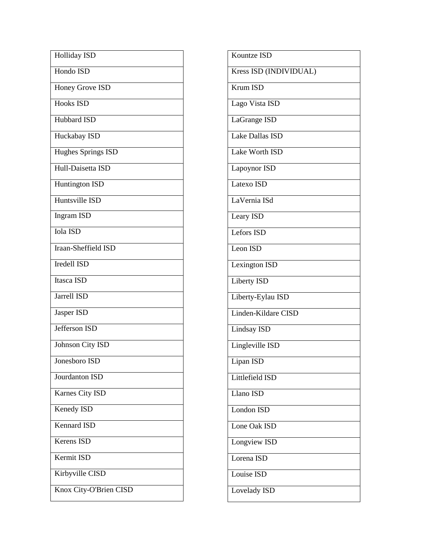| Hondo ISD<br>Honey Grove ISD<br><b>Hooks ISD</b><br>Hubbard ISD<br>Huckabay ISD<br><b>Hughes Springs ISD</b><br>Hull-Daisetta ISD<br><b>Huntington ISD</b><br>Huntsville ISD<br><b>Ingram ISD</b><br><b>Iola ISD</b><br>Iraan-Sheffield ISD<br><b>Iredell ISD</b><br>Itasca ISD<br><b>Jarrell ISD</b><br>Jasper ISD<br>Jefferson ISD<br>Johnson City ISD<br>Jonesboro ISD<br>Jourdanton ISD<br>Karnes City ISD<br>Kenedy ISD<br><b>Kennard ISD</b><br>Kerens ISD<br>Kermit ISD<br>Kirbyville CISD<br>Knox City-O'Brien CISD | <b>Holliday ISD</b> |
|-----------------------------------------------------------------------------------------------------------------------------------------------------------------------------------------------------------------------------------------------------------------------------------------------------------------------------------------------------------------------------------------------------------------------------------------------------------------------------------------------------------------------------|---------------------|
|                                                                                                                                                                                                                                                                                                                                                                                                                                                                                                                             |                     |
|                                                                                                                                                                                                                                                                                                                                                                                                                                                                                                                             |                     |
|                                                                                                                                                                                                                                                                                                                                                                                                                                                                                                                             |                     |
|                                                                                                                                                                                                                                                                                                                                                                                                                                                                                                                             |                     |
|                                                                                                                                                                                                                                                                                                                                                                                                                                                                                                                             |                     |
|                                                                                                                                                                                                                                                                                                                                                                                                                                                                                                                             |                     |
|                                                                                                                                                                                                                                                                                                                                                                                                                                                                                                                             |                     |
|                                                                                                                                                                                                                                                                                                                                                                                                                                                                                                                             |                     |
|                                                                                                                                                                                                                                                                                                                                                                                                                                                                                                                             |                     |
|                                                                                                                                                                                                                                                                                                                                                                                                                                                                                                                             |                     |
|                                                                                                                                                                                                                                                                                                                                                                                                                                                                                                                             |                     |
|                                                                                                                                                                                                                                                                                                                                                                                                                                                                                                                             |                     |
|                                                                                                                                                                                                                                                                                                                                                                                                                                                                                                                             |                     |
|                                                                                                                                                                                                                                                                                                                                                                                                                                                                                                                             |                     |
|                                                                                                                                                                                                                                                                                                                                                                                                                                                                                                                             |                     |
|                                                                                                                                                                                                                                                                                                                                                                                                                                                                                                                             |                     |
|                                                                                                                                                                                                                                                                                                                                                                                                                                                                                                                             |                     |
|                                                                                                                                                                                                                                                                                                                                                                                                                                                                                                                             |                     |
|                                                                                                                                                                                                                                                                                                                                                                                                                                                                                                                             |                     |
|                                                                                                                                                                                                                                                                                                                                                                                                                                                                                                                             |                     |
|                                                                                                                                                                                                                                                                                                                                                                                                                                                                                                                             |                     |
|                                                                                                                                                                                                                                                                                                                                                                                                                                                                                                                             |                     |
|                                                                                                                                                                                                                                                                                                                                                                                                                                                                                                                             |                     |
|                                                                                                                                                                                                                                                                                                                                                                                                                                                                                                                             |                     |
|                                                                                                                                                                                                                                                                                                                                                                                                                                                                                                                             |                     |
|                                                                                                                                                                                                                                                                                                                                                                                                                                                                                                                             |                     |
|                                                                                                                                                                                                                                                                                                                                                                                                                                                                                                                             |                     |

Kountze ISD Kress ISD (INDIVIDUAL) Krum ISD Lago Vista ISD LaGrange ISD Lake Dallas ISD Lake Worth ISD Lapoynor ISD Latexo ISD LaVernia ISd Leary ISD Lefors ISD Leon ISD Lexington ISD Liberty ISD Liberty-Eylau ISD Linden-Kildare CISD Lindsay ISD Lingleville ISD Lipan ISD Littlefield ISD Llano ISD London ISD Lone Oak ISD Longview ISD Lorena ISD Louise ISD Lovelady ISD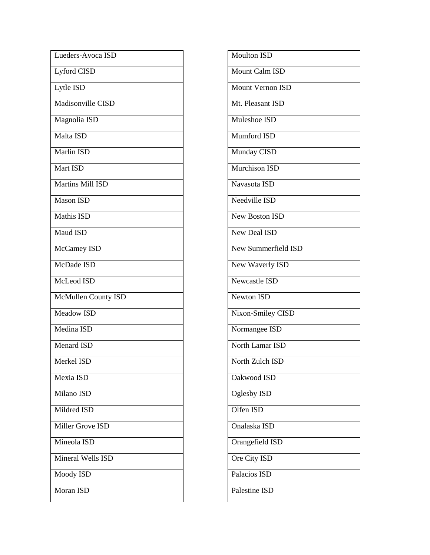| Lueders-Avoca ISD   |
|---------------------|
| Lyford CISD         |
| Lytle ISD           |
| Madisonville CISD   |
| Magnolia ISD        |
| Malta ISD           |
| <b>Marlin ISD</b>   |
| Mart ISD            |
| Martins Mill ISD    |
| <b>Mason ISD</b>    |
| <b>Mathis ISD</b>   |
| Maud ISD            |
| McCamey ISD         |
| McDade ISD          |
| McLeod ISD          |
| McMullen County ISD |
| Meadow ISD          |
| Medina ISD          |
| <b>Menard ISD</b>   |
| Merkel ISD          |
| Mexia ISD           |
| Milano ISD          |
| Mildred ISD         |
| Miller Grove ISD    |
| Mineola ISD         |
| Mineral Wells ISD   |
| Moody ISD           |
| <b>Moran ISD</b>    |

| <b>Moulton ISD</b>         |
|----------------------------|
| Mount Calm ISD             |
| <b>Mount Vernon ISD</b>    |
| Mt. Pleasant ISD           |
| Muleshoe ISD               |
| Mumford ISD                |
| Munday CISD                |
| Murchison ISD              |
| Navasota ISD               |
| Needville ISD              |
| <b>New Boston ISD</b>      |
| New Deal ISD               |
| <b>New Summerfield ISD</b> |
| New Waverly ISD            |
| Newcastle ISD              |
| <b>Newton ISD</b>          |
| Nixon-Smiley CISD          |
| Normangee ISD              |
| North Lamar ISD            |
| North Zulch ISD            |
| Oakwood ISD                |
| Oglesby ISD                |
| Olfen ISD                  |
| Onalaska ISD               |
| Orangefield ISD            |
| Ore City ISD               |
| Palacios ISD               |
| Palestine ISD              |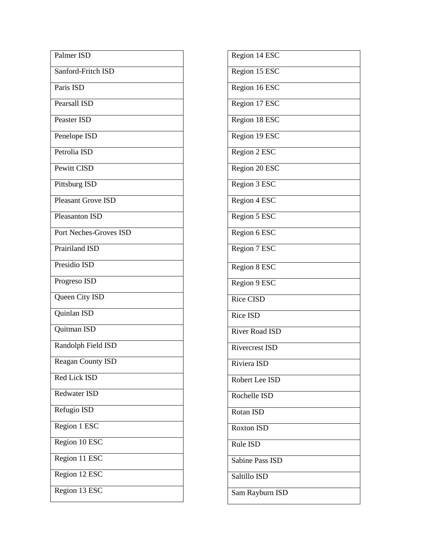| Palmer ISD                |  |
|---------------------------|--|
| Sanford-Fritch ISD        |  |
| Paris ISD                 |  |
| Pearsall ISD              |  |
| <b>Peaster ISD</b>        |  |
| Penelope ISD              |  |
| Petrolia ISD              |  |
| Pewitt CISD               |  |
| Pittsburg ISD             |  |
| <b>Pleasant Grove ISD</b> |  |
| <b>Pleasanton ISD</b>     |  |
| Port Neches-Groves ISD    |  |
| Prairiland ISD            |  |
| Presidio ISD              |  |
| Progreso ISD              |  |
| Queen City ISD            |  |
| Quinlan ISD               |  |
| Quitman ISD               |  |
| Randolph Field ISD        |  |
| Reagan County ISD         |  |
| Red Lick ISD              |  |
| Redwater ISD              |  |
| Refugio ISD               |  |
| Region 1 ESC              |  |
| Region 10 ESC             |  |
| Region 11 ESC             |  |
| Region 12 ESC             |  |
| Region 13 ESC             |  |

| Region 14 ESC          |
|------------------------|
| Region 15 ESC          |
| Region 16 ESC          |
| Region 17 ESC          |
| Region 18 ESC          |
| Region 19 ESC          |
| Region 2 ESC           |
| Region 20 ESC          |
| Region 3 ESC           |
| Region 4 ESC           |
| Region 5 ESC           |
| Region 6 ESC           |
| Region 7 ESC           |
| Region 8 ESC           |
| Region 9 ESC           |
| <b>Rice CISD</b>       |
| Rice ISD               |
| <b>River Road ISD</b>  |
| <b>Rivercrest ISD</b>  |
| Riviera ISD            |
| Robert Lee ISD         |
| Rochelle ISD           |
| Rotan ISD              |
| Roxton ISD             |
| Rule ISD               |
| <b>Sabine Pass ISD</b> |
| Saltillo ISD           |
| Sam Rayburn ISD        |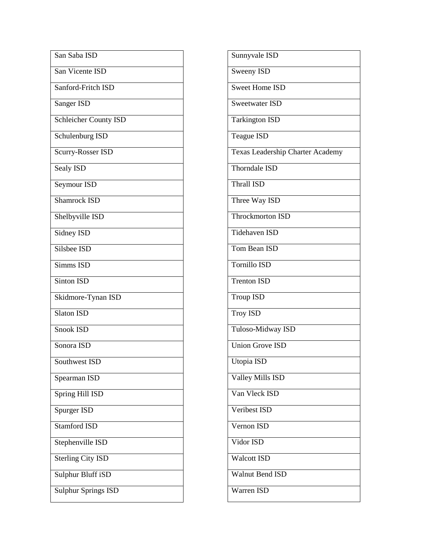| San Saba ISD               |  |
|----------------------------|--|
| San Vicente ISD            |  |
| Sanford-Fritch ISD         |  |
| Sanger ISD                 |  |
| Schleicher County ISD      |  |
| Schulenburg ISD            |  |
| Scurry-Rosser ISD          |  |
| Sealy ISD                  |  |
| Seymour ISD                |  |
| <b>Shamrock ISD</b>        |  |
| Shelbyville ISD            |  |
| Sidney ISD                 |  |
| Silsbee ISD                |  |
| Simms ISD                  |  |
| <b>Sinton ISD</b>          |  |
| Skidmore-Tynan ISD         |  |
| <b>Slaton ISD</b>          |  |
| Snook ISD                  |  |
| Sonora ISD                 |  |
| Southwest ISD              |  |
| Spearman ISD               |  |
| Spring Hill ISD            |  |
| Spurger ISD                |  |
| <b>Stamford ISD</b>        |  |
| Stephenville ISD           |  |
| <b>Sterling City ISD</b>   |  |
| Sulphur Bluff iSD          |  |
| <b>Sulphur Springs ISD</b> |  |

| Sunnyvale ISD                    |
|----------------------------------|
| Sweeny ISD                       |
| <b>Sweet Home ISD</b>            |
| <b>Sweetwater ISD</b>            |
| <b>Tarkington ISD</b>            |
| <b>Teague ISD</b>                |
| Texas Leadership Charter Academy |
| Thorndale ISD                    |
| <b>Thrall ISD</b>                |
| Three Way ISD                    |
| Throckmorton ISD                 |
| Tidehaven ISD                    |
| Tom Bean ISD                     |
| <b>Tornillo ISD</b>              |
| <b>Trenton ISD</b>               |
| <b>Troup ISD</b>                 |
| <b>Troy ISD</b>                  |
| Tuloso-Midway ISD                |
| <b>Union Grove ISD</b>           |
| Utopia ISD                       |
| <b>Valley Mills ISD</b>          |
| Van Vleck ISD                    |
| <b>Veribest ISD</b>              |
| Vernon ISD                       |
| Vidor ISD                        |
| <b>Walcott ISD</b>               |
| <b>Walnut Bend ISD</b>           |
| Warren ISD                       |